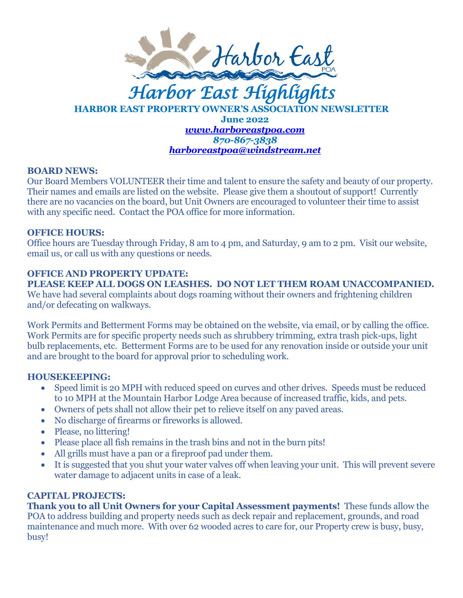

# **HARBOR EAST PROPERTY OWNER'S ASSOCIATION NEWSLETTER June 2022** *[www.harboreastpoa.com](http://www.harboreastpoa.com/) 870-867-3838 [harboreastpoa@windstream.net](mailto:harboreastpoa@windstream.net)*

#### **BOARD NEWS:**

Our Board Members VOLUNTEER their time and talent to ensure the safety and beauty of our property. Their names and emails are listed on the website. Please give them a shoutout of support! Currently there are no vacancies on the board, but Unit Owners are encouraged to volunteer their time to assist with any specific need. Contact the POA office for more information.

#### **OFFICE HOURS:**

Office hours are Tuesday through Friday, 8 am to 4 pm, and Saturday, 9 am to 2 pm. Visit our website, email us, or call us with any questions or needs.

## **OFFICE AND PROPERTY UPDATE:**

**PLEASE KEEP ALL DOGS ON LEASHES. DO NOT LET THEM ROAM UNACCOMPANIED.**  We have had several complaints about dogs roaming without their owners and frightening children and/or defecating on walkways.

Work Permits and Betterment Forms may be obtained on the website, via email, or by calling the office. Work Permits are for specific property needs such as shrubbery trimming, extra trash pick-ups, light bulb replacements, etc. Betterment Forms are to be used for any renovation inside or outside your unit and are brought to the board for approval prior to scheduling work.

## **HOUSEKEEPING:**

- Speed limit is 20 MPH with reduced speed on curves and other drives. Speeds must be reduced to 10 MPH at the Mountain Harbor Lodge Area because of increased traffic, kids, and pets.
- Owners of pets shall not allow their pet to relieve itself on any paved areas.
- No discharge of firearms or fireworks is allowed.
- Please, no littering!
- Please place all fish remains in the trash bins and not in the burn pits!
- All grills must have a pan or a fireproof pad under them.
- It is suggested that you shut your water valves off when leaving your unit. This will prevent severe water damage to adjacent units in case of a leak.

# **CAPITAL PROJECTS:**

**Thank you to all Unit Owners for your Capital Assessment payments!** These funds allow the POA to address building and property needs such as deck repair and replacement, grounds, and road maintenance and much more. With over 62 wooded acres to care for, our Property crew is busy, busy, busy!